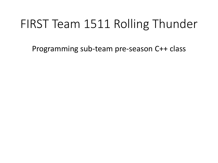## FIRST Team 1511 Rolling Thunder

Programming sub-team pre-season C++ class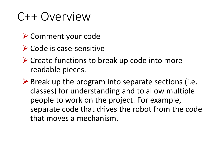### C++ Overview

- ➢ Comment your code
- ➢ Code is case-sensitive
- ➢ Create functions to break up code into more readable pieces.
- $\triangleright$  Break up the program into separate sections (i.e. classes) for understanding and to allow multiple people to work on the project. For example, separate code that drives the robot from the code that moves a mechanism.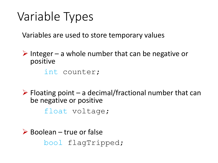# Variable Types

Variables are used to store temporary values

 $\triangleright$  Integer – a whole number that can be negative or positive

int counter;

 $\triangleright$  Floating point – a decimal/fractional number that can be negative or positive

float voltage;

 $\triangleright$  Boolean – true or false bool flagTripped;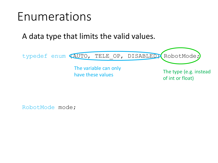#### Enumerations

A data type that limits the valid values.

typedef enum (AUTO, TELE OP, DISABLED) RobotMode;

The variable can only have these values

The type (e.g. instead of int or float)

RobotMode mode;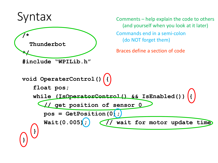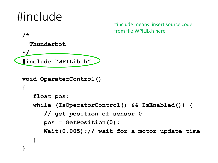```
/*
   Thunderbot
 */
 #include "WPILib.h"
 void OperaterControl()
  {
     float pos;
     while (IsOperatorControl() && IsEnabled()) {
        // get position of sensor 0
        pos = GetPosition(0);
        Wait(0.005);// wait for a motor update time
     }
 }
                              #include means: insert source code 
                              from file WPILib.h here
#include
```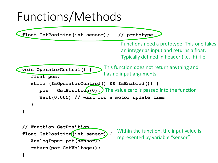#### Functions/Methods

**float GetPosition(int sensor); // prototype void OperaterControl() { float pos; while (IsOperatorControl() && IsEnabled()) { pos = GetPosition (0);)** The value zero is passed into the function **Wait(0.005);// wait for a motor update time } } // Function GetPosition float GetPosition(int sensor) { AnalogInput pot(sensor); return(pot.GetVoltage();** Within the function, the input value is represented by variable "sensor" Functions need a prototype. This one takes an integer as input and returns a float. Typically defined in header (i.e. .h) file. This function does not return anything and has no input arguments.

**}**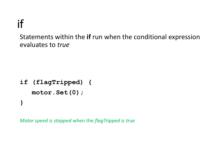#### if

Statements within the **if** run when the conditional expression evaluates to *true*

**if (flagTripped) { motor.Set(0); }**

*Motor speed is stopped* when the *flagTripped* is *true*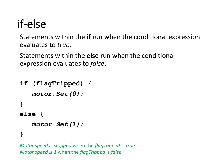## if-else

Statements within the **if** run when the conditional expression evaluates to *true*.

Statements within the **else** run when the conditional expression evaluates to *false*.

```
if (flagTripped) {
   motor.Set(0);
}
else {
   motor.Set(1);
```
**}**

*Motor speed is stopped* when the *flagTripped* is *true Motor speed is 1* when the *flagTripped* is *false*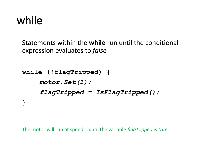#### while

Statements within the **while** run until the conditional expression evaluates to *false*

```
while (!flagTripped) {
    motor.Set(1);
    flagTripped = IsFlagTripped();
}
```
The motor will run at speed 1 until the variable *flagTripped* is *true*.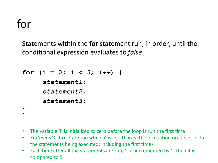## for

Statements within the **for** statement run, in order, until the conditional expression evaluates to *false*

```
for (i = 0; i < 5; i++) {
     statement1;
     statement2;
     statement3;
}
```
- The variable 'i' is initialized to zero before the loop is run the first time
- *Statement1* thru *3* are run while 'i' is less than 5 (the evaluation occurs prior to the statements being executed; including the first time)
- Each time after all the statements are run, 'i' is incremented by 1, then it is compared to 5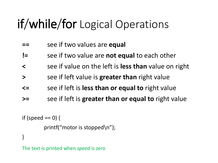# if/while/for Logical Operations

- **==** see if two values are **equal**
- **!=** see if two value are **not equal** to each other
- **<** see if value on the left is **less than** value on right
- **>** see if left value is **greater than** right value
- **<=** see if left is **less than or equal to** right value
- **>=** see if left is **greater than or equal to** right value

```
if (speed == 0) {
         printf("motor is stopped\n");
}
```
The text is printed when *speed* is zero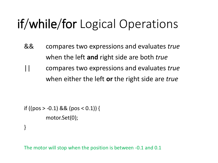# if/while/for Logical Operations

- && compares two expressions and evaluates *true* when the left **and** right side are both *true*
- || compares two expressions and evaluates *true* when either the left **or** the right side are *true*

```
if ((pos > -0.1) && (pos < 0.1)) {
         motor.Set(0);
}
```
The motor will stop when the position is between -0.1 and 0.1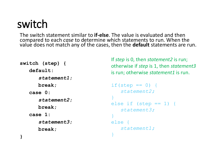#### switch

The switch statement similar to **if-else**. The value is evaluated and then compared to each *case* to determine which statements to run. When the value does not match any of the cases, then the **default** statements are run.

```
switch (step) {
   default:
      statement1;
      break;
   case 0:
      statement2;
      break;
   case 1:
      statement3;
      break;
}
```
If *step* is 0, then *statement2* is run; otherwise if *step* is 1, then *statement3* is run; otherwise *statement1* is run.

```
if(step == 0)statement2;
}
else if (\text{step} == 1) {
   statement3;
}
else {
   statement1;
}
```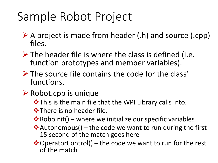- $\triangleright$  A project is made from header (.h) and source (.cpp) files.
- $\triangleright$  The header file is where the class is defined (i.e. function prototypes and member variables).
- ➢ The source file contains the code for the class' functions.
- ➢ Robot.cpp is unique
	- ❖This is the main file that the WPI Library calls into.

❖There is no header file.

- $\dots$  RoboInit() where we initialize our specific variables
- ❖ Autonomous() the code we want to run during the first 15 second of the match goes here
- ❖OperatorControl() the code we want to run for the rest of the match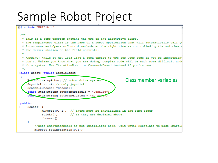$\Box$ #include "WPILib.h"  $7**$ \* This is a demo program showing the use of the RobotDrive class. \* The SampleRobot class is the base of a robot application that will automatically call y \* Autonomous and OperatorControl methods at the right time as controlled by the switches \* the driver station or the field controls. \* WARNING: While it may look like a good choice to use for your code if you're inexperien \* don't. Unless you know what you are doing, complex code will be much more difficult und \* this system. Use IterativeRobot or Command-Based instead if you're new.  $\star$  / **□class Robot: public SampleRobot** к. Class member variables RebotDrive myRobot; // robot drive system Joystick stick; // only joystick SendableChooser \*chooser; const std::string autoNameDefault = "Default"; const std::string autoNameCustom = "My Aut public:  $Robot()$  :  $myRobot(0, 1)$ , // these must be initialized in the same order stick(0), // as they are declared above. chooser() ₹. //Note SmartDashboard is not initialized here, wait until RobotInit to make SmartD myRobot.SetExpiration(0.1);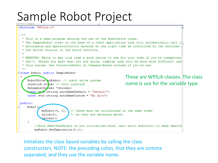

Initializes the class based variables by calling the class constructors. NOTE: the preceding colon, that they are comma separated, and they use the variable name.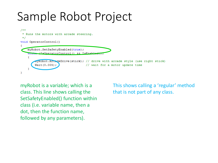

myRobot is a variable; which is a class. This line shows calling the SetSafetyEnabled() function within class (i.e. variable name, then a dot, then the function name, followed by any parameters).

This shows calling a 'regular' method that is not part of any class.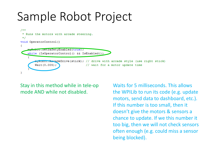

Stay in this method while in tele-op mode AND while not disabled.

Waits for 5 milliseconds. This allows the WPILib to run its code (e.g. update motors, send data to dashboard, etc.). If this number is too small, then it doesn't give the motors & sensors a chance to update. If we this number it too big, then we will not check sensors often enough (e.g. could miss a sensor being blocked).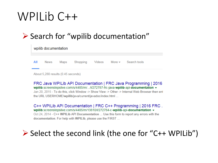### WPILib C++

#### ➢ Search for "wpilib documentation"

|     | wpilib documentation |      |          |  |  |                            |  |  |  |
|-----|----------------------|------|----------|--|--|----------------------------|--|--|--|
| All | <b>News</b>          | Maps | Shopping |  |  | Videos More > Search tools |  |  |  |

About 5.280 results (0.45 seconds)

FRC Java WPILIb API Documentation | FRC Java Programming | 2016 wpilib.screenstepslive.com/s/4485/m/.../l/272787-frc-java-wpilib-api-documentation ▼ Jan 20, 2015 - To do this, click Window -> Show View -> Other -> Internal Web Browser then ent the URL USERHOME/wpilib/java/current/javadoc/index.html ...

C++ WPILib API Documentation | FRC C++ Programming | 2016 FRC. wpilib.screenstepslive.com/s/4485/m/13810/l/272784-c-wpilib-api-documentation ▼ Oct 24, 2014 - C++ WPILib API Documentation ... Use this form to report any errors with the documentation. For help with WPILib, please use the FIRST ...

#### ➢ Select the second link (the one for "C++ WPILib")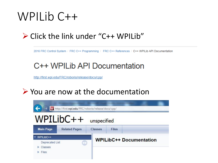#### WPILib C++

#### ➢ Click the link under "C++ WPILib"

2016 FRC Control System / FRC C++ Programming / FRC C++ References / C++ WPILib API Documentation

#### C++ WPILib API Documentation

http://first.wpi.edu/FRC/roborio/release/docs/cpp/

#### ➢ You are now at the documentation

|                                     | W http://first.wpi.edu/FRC/roborio/release/docs/cpp/ |                |                                |  |  |  |
|-------------------------------------|------------------------------------------------------|----------------|--------------------------------|--|--|--|
|                                     | $WPILibC++$                                          | unspecified    |                                |  |  |  |
| <b>Main Page</b><br>WPILibC++       | <b>Related Pages</b>                                 | <b>Classes</b> | <b>Files</b>                   |  |  |  |
| Deprecated List<br>Classes<br>Files | O                                                    |                | <b>WPILibC++ Documentation</b> |  |  |  |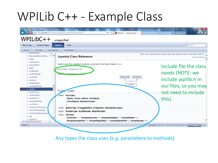

Any types the class uses (e.g. parameters to methods)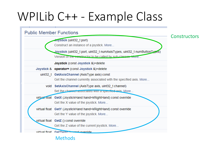

Methods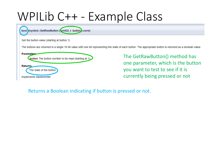

Returns a Boolean indicating if button is pressed or not.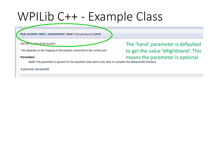float Joystick::GetX (JoystickHand hand = kRightHand) const

Get the x value of the joystick.

This depends on the mapping of the joystick connected to the current port.

**Parameters** 

The 'hand' parameter is defaulted to get the value 'kRightHand'. This

neters<br>hand This parameter is ignored for the Joystick class and is only here to complete the GenericHID interface.

**Implements GenericHID.**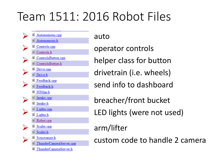# Team 1511: 2016 Robot Files

- <u>■ Autonomous.cpp</u> **auto**<br>■ Autonomous.h ■ IOMap.h ■ Robot.cpp ➢ arm/lifter ■ ThunderCameraServer.h
- **Executeds.cpp operator controls**  $\triangleq$  ControlsButton.cpp<br>  $\triangleq$  ControlsButton.h<br>  $\triangleq$  ControlsButton.h  $\triangleq \frac{\text{Diriv. c.pp}}{\text{Diriv. h}}$  drivetrain (i.e. wheels)  $\blacksquare$   $\blacksquare$  Feedback.cpp Send info to dashboard ➢ breacher/front bucket ➢ LED lights (were not used)  $\triangleq$   $\frac{1}{\text{Syncronize.h}}$  custom code to handle 2 camera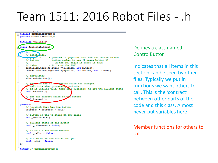### Team 1511: 2016 Robot Files - .h

```
---r-7
- #ifndef CONTROLSBUTTON H
  #dafina CONTROLSBUTTON H
  #include "WPILib.h"
  class ControlsButton
    mlie:
      // constructor
            -t1e- pointer to joyatick that has the button to use
      // button
                       - button number to use (1 means button 1)
      ^{\prime\prime}OR the POV angle if isPov is true
      II is Pov
                      - it is on the POV?
      ControlaButton (Joyatick *joyatick, int button);
      ControlaButton (Joystick *joystick, int button, bool isPov);
      // destructor
      -ControlaButton();
            an to gee if un button state has changed.
\Boxcall this when processing controls.
      // if it returns true, then call Pressed() to get the current state
      bool Process ();
       // get the current state of the button
        al Pressed();
  private:
      // joyatick that has the button
      Joystick *_joystick - NULL;
      // button on the joyatick OR POV angle
      int button -1;
      // current state of the button
      bool isPressed - false;
      // if this a POV based button?
      bool isPov - false;
      // did we do an initialization yet?
      bool init - false;
 \mathbf{F}#endif // CONTROLSBUTTON H
```
Defines a class named: **ControlButton** 

Indicates that all items in this section can be seen by other files. Typically we put in functions we want others to call. This is the 'contract' between other parts of the code and this class. Almost never put variables here.

Member functions for others to call.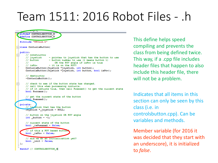### Team 1511: 2016 Robot Files - .h

```
#ifndef CONTROLSBUTTON H
   define CONTROLSBUTTON
  #include "WPILib.h"
Elass ControlsButton{
  public:
      // constructor
      // joyatick
                      - pointer to joyatick that has the button to use
      // button
                      - button number to use (1 means button 1)
                          OR the POV angle if isPov is true
      ^{\prime\prime}II is Pov
                      - it is on the POV?
      ControlaButton (Joyatick *joyatick, int button);
      ControlaButton (Joystick *joystick, int button, bool isPov);
      // destructor
      -Controlabation()F
      // check to see if the button state has changed.
      // call this when processing controls.
      // if it returns true, then call Pressed() to get the current state
      bool Process ();
      // get the current state of the button
      hool Pressed();
  private:
      // in atick that has the button
      Joyatick *_joyatick - NULL;
      // button on the joyatick OR POV angle
      int button - -1;
      // current state of the button
      bool isPressed - false;
      // if this a POV based butto
      bool isPov - false;
      // did we do an initialization yet?
      bool init - false;
 Ъz
  #endif // CONTROLSBUTTON_H
```
This define helps speed compiling and prevents the class from being defined twice. This way, if a .cpp file includes header files that happen to also include this header file, there will not be a problem.

Indicates that all items in this section can only be seen by this class (i.e. in controlsbutton.cpp). Can be variables and methods.

Member variable (for 2016 it was decided that they start with an underscore), it is initialized to *false*.